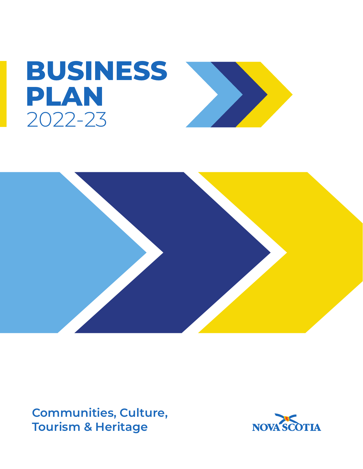



**Communities, Culture, Tourism & Heritage**

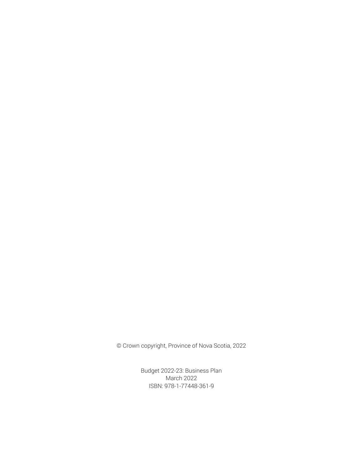© Crown copyright, Province of Nova Scotia, 2022

Budget 2022-23: Business Plan March 2022 ISBN: 978-1-77448-361-9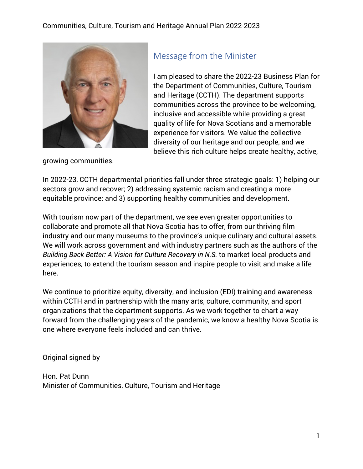

## Message from the Minister

I am pleased to share the 2022-23 Business Plan for the Department of Communities, Culture, Tourism and Heritage (CCTH). The department supports communities across the province to be welcoming, inclusive and accessible while providing a great quality of life for Nova Scotians and a memorable experience for visitors. We value the collective diversity of our heritage and our people, and we believe this rich culture helps create healthy, active,

growing communities.

In 2022-23, CCTH departmental priorities fall under three strategic goals: 1) helping our sectors grow and recover; 2) addressing systemic racism and creating a more equitable province; and 3) supporting healthy communities and development.

With tourism now part of the department, we see even greater opportunities to collaborate and promote all that Nova Scotia has to offer, from our thriving film industry and our many museums to the province's unique culinary and cultural assets. We will work across government and with industry partners such as the authors of the *Building Back Better: A Vision for Culture Recovery in N.S.* to market local products and experiences, to extend the tourism season and inspire people to visit and make a life here.

We continue to prioritize equity, diversity, and inclusion (EDI) training and awareness within CCTH and in partnership with the many arts, culture, community, and sport organizations that the department supports. As we work together to chart a way forward from the challenging years of the pandemic, we know a healthy Nova Scotia is one where everyone feels included and can thrive.

Original signed by

Hon. Pat Dunn Minister of Communities, Culture, Tourism and Heritage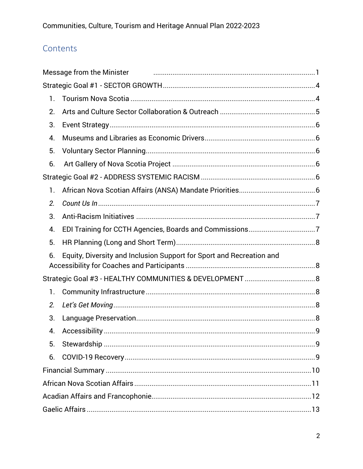# Contents

|    | Message from the Minister                                            |     |  |
|----|----------------------------------------------------------------------|-----|--|
|    |                                                                      |     |  |
| 1. |                                                                      |     |  |
| 2. |                                                                      |     |  |
| 3. |                                                                      |     |  |
| 4. |                                                                      |     |  |
| 5. |                                                                      |     |  |
| 6. |                                                                      |     |  |
|    |                                                                      |     |  |
| 1. |                                                                      |     |  |
| 2. |                                                                      |     |  |
| 3. |                                                                      |     |  |
| 4. |                                                                      |     |  |
| 5. |                                                                      |     |  |
| 6. | Equity, Diversity and Inclusion Support for Sport and Recreation and |     |  |
|    |                                                                      |     |  |
| 1. |                                                                      |     |  |
| 2. |                                                                      |     |  |
| 3. |                                                                      |     |  |
| 4. | Accessibility                                                        | . 9 |  |
| 5. |                                                                      |     |  |
| 6. |                                                                      |     |  |
|    |                                                                      |     |  |
|    |                                                                      |     |  |
|    |                                                                      |     |  |
|    |                                                                      |     |  |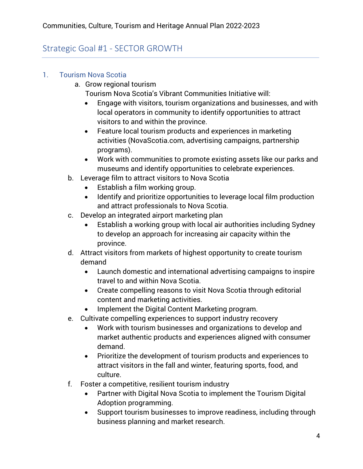# Strategic Goal #1 - SECTOR GROWTH

- 1. Tourism Nova Scotia
	- a. Grow regional tourism
		- Tourism Nova Scotia's Vibrant Communities Initiative will:
		- Engage with visitors, tourism organizations and businesses, and with local operators in community to identify opportunities to attract visitors to and within the province.
		- Feature local tourism products and experiences in marketing activities (NovaScotia.com, advertising campaigns, partnership programs).
		- Work with communities to promote existing assets like our parks and museums and identify opportunities to celebrate experiences.
	- b. Leverage film to attract visitors to Nova Scotia
		- Establish a film working group.
		- Identify and prioritize opportunities to leverage local film production and attract professionals to Nova Scotia.
	- c. Develop an integrated airport marketing plan
		- Establish a working group with local air authorities including Sydney to develop an approach for increasing air capacity within the province.
	- d. Attract visitors from markets of highest opportunity to create tourism demand
		- Launch domestic and international advertising campaigns to inspire travel to and within Nova Scotia.
		- Create compelling reasons to visit Nova Scotia through editorial content and marketing activities.
		- Implement the Digital Content Marketing program.
	- e. Cultivate compelling experiences to support industry recovery
		- Work with tourism businesses and organizations to develop and market authentic products and experiences aligned with consumer demand.
		- Prioritize the development of tourism products and experiences to attract visitors in the fall and winter, featuring sports, food, and culture.
	- f. Foster a competitive, resilient tourism industry
		- Partner with Digital Nova Scotia to implement the Tourism Digital Adoption programming.
		- Support tourism businesses to improve readiness, including through business planning and market research.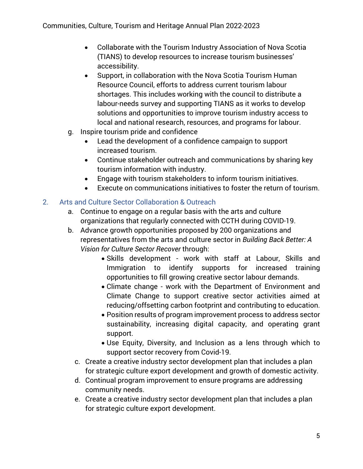- Collaborate with the Tourism Industry Association of Nova Scotia (TIANS) to develop resources to increase tourism businesses' accessibility.
- Support, in collaboration with the Nova Scotia Tourism Human Resource Council, efforts to address current tourism labour shortages. This includes working with the council to distribute a labour-needs survey and supporting TIANS as it works to develop solutions and opportunities to improve tourism industry access to local and national research, resources, and programs for labour.
- g. Inspire tourism pride and confidence
	- Lead the development of a confidence campaign to support increased tourism.
	- Continue stakeholder outreach and communications by sharing key tourism information with industry.
	- Engage with tourism stakeholders to inform tourism initiatives.
	- Execute on communications initiatives to foster the return of tourism.

### 2. Arts and Culture Sector Collaboration & Outreach

- a. Continue to engage on a regular basis with the arts and culture organizations that regularly connected with CCTH during COVID-19.
- b. Advance growth opportunities proposed by 200 organizations and representatives from the arts and culture sector in *Building Back Better: A Vision for Culture Sector Recover* through:
	- Skills development work with staff at Labour, Skills and Immigration to identify supports for increased training opportunities to fill growing creative sector labour demands.
	- Climate change work with the Department of Environment and Climate Change to support creative sector activities aimed at reducing/offsetting carbon footprint and contributing to education.
	- Position results of program improvement process to address sector sustainability, increasing digital capacity, and operating grant support.
	- Use Equity, Diversity, and Inclusion as a lens through which to support sector recovery from Covid-19.
	- c. Create a creative industry sector development plan that includes a plan for strategic culture export development and growth of domestic activity.
	- d. Continual program improvement to ensure programs are addressing community needs.
	- e. Create a creative industry sector development plan that includes a plan for strategic culture export development.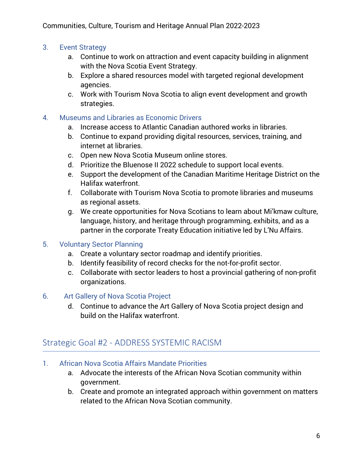#### 3. Event Strategy

- a. Continue to work on attraction and event capacity building in alignment with the Nova Scotia Event Strategy.
- b. Explore a shared resources model with targeted regional development agencies.
- c. Work with Tourism Nova Scotia to align event development and growth strategies.

#### 4. Museums and Libraries as Economic Drivers

- a. Increase access to Atlantic Canadian authored works in libraries.
- b. Continue to expand providing digital resources, services, training, and internet at libraries.
- c. Open new Nova Scotia Museum online stores.
- d. Prioritize the Bluenose II 2022 schedule to support local events.
- e. Support the development of the Canadian Maritime Heritage District on the Halifax waterfront.
- f. Collaborate with Tourism Nova Scotia to promote libraries and museums as regional assets.
- g. We create opportunities for Nova Scotians to learn about Mi'kmaw culture, language, history, and heritage through programming, exhibits, and as a partner in the corporate Treaty Education initiative led by L'Nu Affairs.

#### 5. Voluntary Sector Planning

- a. Create a voluntary sector roadmap and identify priorities.
- b. Identify feasibility of record checks for the not-for-profit sector.
- c. Collaborate with sector leaders to host a provincial gathering of non-profit organizations.
- 6. Art Gallery of Nova Scotia Project
	- d. Continue to advance the Art Gallery of Nova Scotia project design and build on the Halifax waterfront.

### Strategic Goal #2 - ADDRESS SYSTEMIC RACISM

- 1. African Nova Scotia Affairs Mandate Priorities
	- a. Advocate the interests of the African Nova Scotian community within government.
	- b. Create and promote an integrated approach within government on matters related to the African Nova Scotian community.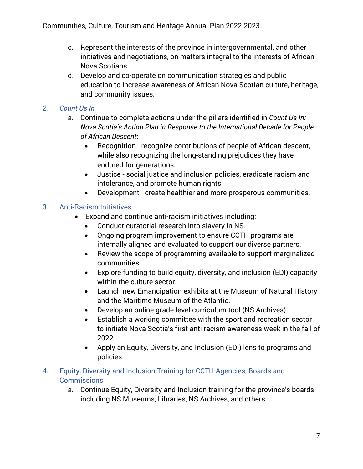- c. Represent the interests of the province in intergovernmental, and other initiatives and negotiations, on matters integral to the interests of African Nova Scotians.
- d. Develop and co-operate on communication strategies and public education to increase awareness of African Nova Scotian culture, heritage, and community issues.

### *2. Count Us In*

- a. Continue to complete actions under the pillars identified in *Count Us In: Nova Scotia's Action Plan in Response to the International Decade for People of African Descent*:
	- Recognition recognize contributions of people of African descent, while also recognizing the long-standing prejudices they have endured for generations.
	- Justice social justice and inclusion policies, eradicate racism and intolerance, and promote human rights.
	- Development create healthier and more prosperous communities.

### 3. Anti-Racism Initiatives

- Expand and continue anti-racism initiatives including:
	- Conduct curatorial research into slavery in NS.
	- Ongoing program improvement to ensure CCTH programs are internally aligned and evaluated to support our diverse partners.
	- Review the scope of programming available to support marginalized communities.
	- Explore funding to build equity, diversity, and inclusion (EDI) capacity within the culture sector.
	- Launch new Emancipation exhibits at the Museum of Natural History and the Maritime Museum of the Atlantic.
	- Develop an online grade level curriculum tool (NS Archives).
	- Establish a working committee with the sport and recreation sector to initiate Nova Scotia's first anti-racism awareness week in the fall of 2022.
	- Apply an Equity, Diversity, and Inclusion (EDI) lens to programs and policies.

#### 4. Equity, Diversity and Inclusion Training for CCTH Agencies, Boards and **Commissions**

a. Continue Equity, Diversity and Inclusion training for the province's boards including NS Museums, Libraries, NS Archives, and others.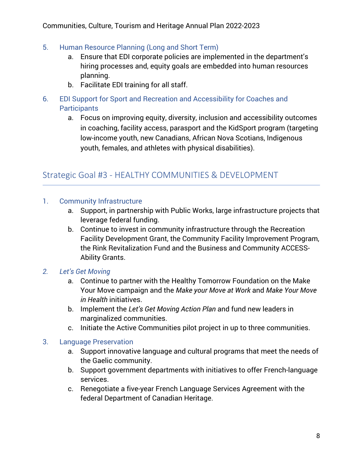- 5. Human Resource Planning (Long and Short Term)
	- a. Ensure that EDI corporate policies are implemented in the department's hiring processes and, equity goals are embedded into human resources planning.
	- b. Facilitate EDI training for all staff.
- 6. EDI Support for Sport and Recreation and Accessibility for Coaches and **Participants** 
	- a. Focus on improving equity, diversity, inclusion and accessibility outcomes in coaching, facility access, parasport and the KidSport program (targeting low-income youth, new Canadians, African Nova Scotians, Indigenous youth, females, and athletes with physical disabilities).

### Strategic Goal #3 - HEALTHY COMMUNITIES & DEVELOPMENT

#### 1. Community Infrastructure

- a. Support, in partnership with Public Works, large infrastructure projects that leverage federal funding.
- b. Continue to invest in community infrastructure through the Recreation Facility Development Grant, the Community Facility Improvement Program, the Rink Revitalization Fund and the Business and Community ACCESS-Ability Grants.

### *2. Let's Get Moving*

- a. Continue to partner with the Healthy Tomorrow Foundation on the Make Your Move campaign and the *Make your Move at Work* and *Make Your Move in Health* initiatives.
- b. Implement the *Let's Get Moving Action Plan* and fund new leaders in marginalized communities.
- c. Initiate the Active Communities pilot project in up to three communities.

#### 3. Language Preservation

- a. Support innovative language and cultural programs that meet the needs of the Gaelic community.
- b. Support government departments with initiatives to offer French-language services.
- c. Renegotiate a five-year French Language Services Agreement with the federal Department of Canadian Heritage.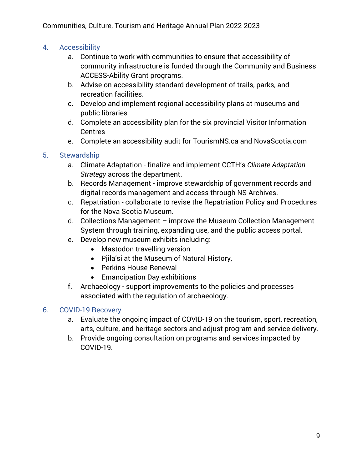### 4. Accessibility

- a. Continue to work with communities to ensure that accessibility of community infrastructure is funded through the Community and Business ACCESS-Ability Grant programs.
- b. Advise on accessibility standard development of trails, parks, and recreation facilities.
- c. Develop and implement regional accessibility plans at museums and public libraries
- d. Complete an accessibility plan for the six provincial Visitor Information Centres
- e. Complete an accessibility audit for TourismNS.ca and NovaScotia.com

#### 5. Stewardship

- a. Climate Adaptation finalize and implement CCTH's *Climate Adaptation Strategy* across the department.
- b. Records Management improve stewardship of government records and digital records management and access through NS Archives.
- c. Repatriation collaborate to revise the Repatriation Policy and Procedures for the Nova Scotia Museum.
- d. Collections Management improve the Museum Collection Management System through training, expanding use, and the public access portal.
- e. Develop new museum exhibits including:
	- Mastodon travelling version
	- Pjila'si at the Museum of Natural History,
	- Perkins House Renewal
	- Emancipation Day exhibitions
- f. Archaeology support improvements to the policies and processes associated with the regulation of archaeology.

### 6. COVID-19 Recovery

- a. Evaluate the ongoing impact of COVID-19 on the tourism, sport, recreation, arts, culture, and heritage sectors and adjust program and service delivery.
- b. Provide ongoing consultation on programs and services impacted by COVID-19.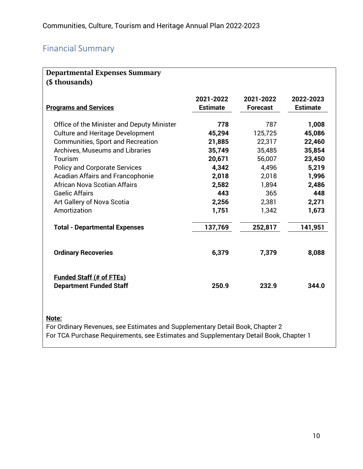# Financial Summary

| <b>Departmental Expenses Summary</b><br>(\$ thousands)            |                              |                              |                              |  |  |
|-------------------------------------------------------------------|------------------------------|------------------------------|------------------------------|--|--|
| <b>Programs and Services</b>                                      | 2021-2022<br><b>Estimate</b> | 2021-2022<br><b>Forecast</b> | 2022-2023<br><b>Estimate</b> |  |  |
| Office of the Minister and Deputy Minister                        | 778                          | 787                          | 1,008                        |  |  |
| <b>Culture and Heritage Development</b>                           | 45,294                       | 125,725                      | 45,086                       |  |  |
| <b>Communities, Sport and Recreation</b>                          | 21,885                       | 22,317                       | 22,460                       |  |  |
| <b>Archives, Museums and Libraries</b>                            | 35,749                       | 35,485                       | 35,854                       |  |  |
| Tourism                                                           | 20,671                       | 56,007                       | 23,450                       |  |  |
| <b>Policy and Corporate Services</b>                              | 4,342                        | 4,496                        | 5,219                        |  |  |
| <b>Acadian Affairs and Francophonie</b>                           | 2,018                        | 2,018                        | 1,996                        |  |  |
| African Nova Scotian Affairs                                      | 2,582                        | 1,894                        | 2,486                        |  |  |
| <b>Gaelic Affairs</b>                                             | 443                          | 365                          | 448                          |  |  |
| Art Gallery of Nova Scotia                                        | 2,256                        | 2,381                        | 2,271                        |  |  |
| Amortization                                                      | 1,751                        | 1,342                        | 1,673                        |  |  |
| <b>Total - Departmental Expenses</b>                              | 137,769                      | 252,817                      | 141,951                      |  |  |
| <b>Ordinary Recoveries</b>                                        | 6,379                        | 7,379                        | 8,088                        |  |  |
| <b>Funded Staff (# of FTEs)</b><br><b>Department Funded Staff</b> | 250.9                        | 232.9                        | 344.0                        |  |  |
| <u>Note:</u>                                                      |                              |                              |                              |  |  |

For Ordinary Revenues, see Estimates and Supplementary Detail Book, Chapter 2 For TCA Purchase Requirements, see Estimates and Supplementary Detail Book, Chapter 1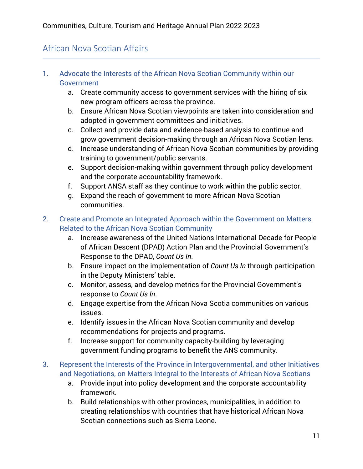# African Nova Scotian Affairs

- 1. Advocate the Interests of the African Nova Scotian Community within our Government
	- a. Create community access to government services with the hiring of six new program officers across the province.
	- b. Ensure African Nova Scotian viewpoints are taken into consideration and adopted in government committees and initiatives.
	- c. Collect and provide data and evidence-based analysis to continue and grow government decision-making through an African Nova Scotian lens.
	- d. Increase understanding of African Nova Scotian communities by providing training to government/public servants.
	- e. Support decision-making within government through policy development and the corporate accountability framework.
	- f. Support ANSA staff as they continue to work within the public sector.
	- g. Expand the reach of government to more African Nova Scotian communities.
- 2. Create and Promote an Integrated Approach within the Government on Matters Related to the African Nova Scotian Community
	- a. Increase awareness of the United Nations International Decade for People of African Descent (DPAD) Action Plan and the Provincial Government's Response to the DPAD, *Count Us In*.
	- b. Ensure impact on the implementation of *Count Us In* through participation in the Deputy Ministers' table.
	- c. Monitor, assess, and develop metrics for the Provincial Government's response to *Count Us In*.
	- d. Engage expertise from the African Nova Scotia communities on various issues.
	- e. Identify issues in the African Nova Scotian community and develop recommendations for projects and programs.
	- f. Increase support for community capacity-building by leveraging government funding programs to benefit the ANS community.
- 3. Represent the Interests of the Province in Intergovernmental, and other Initiatives and Negotiations, on Matters Integral to the Interests of African Nova Scotians
	- a. Provide input into policy development and the corporate accountability framework.
	- b. Build relationships with other provinces, municipalities, in addition to creating relationships with countries that have historical African Nova Scotian connections such as Sierra Leone.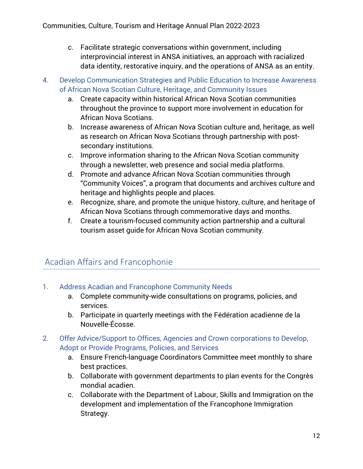- c. Facilitate strategic conversations within government, including interprovincial interest in ANSA initiatives, an approach with racialized data identity, restorative inquiry, and the operations of ANSA as an entity.
- 4. Develop Communication Strategies and Public Education to Increase Awareness of African Nova Scotian Culture, Heritage, and Community Issues
	- a. Create capacity within historical African Nova Scotian communities throughout the province to support more involvement in education for African Nova Scotians.
	- b. Increase awareness of African Nova Scotian culture and, heritage, as well as research on African Nova Scotians through partnership with postsecondary institutions.
	- c. Improve information sharing to the African Nova Scotian community through a newsletter, web presence and social media platforms.
	- d. Promote and advance African Nova Scotian communities through "Community Voices", a program that documents and archives culture and heritage and highlights people and places.
	- e. Recognize, share, and promote the unique history, culture, and heritage of African Nova Scotians through commemorative days and months.
	- f. Create a tourism-focused community action partnership and a cultural tourism asset guide for African Nova Scotian community.

# Acadian Affairs and Francophonie

- 1. Address Acadian and Francophone Community Needs
	- a. Complete community-wide consultations on programs, policies, and services.
	- b. Participate in quarterly meetings with the Fédération acadienne de la Nouvelle-Écosse.
- 2. Offer Advice/Support to Offices, Agencies and Crown corporations to Develop, Adopt or Provide Programs, Policies, and Services
	- a. Ensure French-language Coordinators Committee meet monthly to share best practices.
	- b. Collaborate with government departments to plan events for the Congrès mondial acadien.
	- c. Collaborate with the Department of Labour, Skills and Immigration on the development and implementation of the Francophone Immigration Strategy.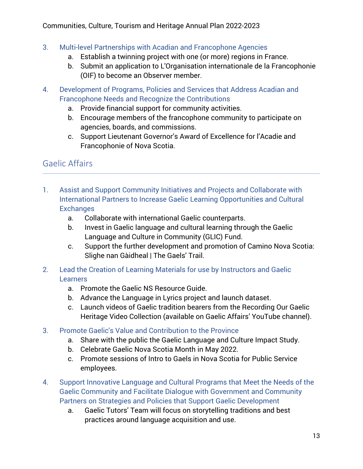- 3. Multi-level Partnerships with Acadian and Francophone Agencies
	- a. Establish a twinning project with one (or more) regions in France.
	- b. Submit an application to L'Organisation internationale de la Francophonie (OIF) to become an Observer member.
- 4. Development of Programs, Policies and Services that Address Acadian and Francophone Needs and Recognize the Contributions
	- a. Provide financial support for community activities.
	- b. Encourage members of the francophone community to participate on agencies, boards, and commissions.
	- c. Support Lieutenant Governor's Award of Excellence for l'Acadie and Francophonie of Nova Scotia.

# Gaelic Affairs

- 1. Assist and Support Community Initiatives and Projects and Collaborate with International Partners to Increase Gaelic Learning Opportunities and Cultural **Exchanges** 
	- a. Collaborate with international Gaelic counterparts.
	- b. Invest in Gaelic language and cultural learning through the Gaelic Language and Culture in Community (GLIC) Fund.
	- c. Support the further development and promotion of Camino Nova Scotia: Slighe nan Gàidheal | The Gaels' Trail.
- 2. Lead the Creation of Learning Materials for use by Instructors and Gaelic **Learners** 
	- a. Promote the Gaelic NS Resource Guide.
	- b. Advance the Language in Lyrics project and launch dataset.
	- c. Launch videos of Gaelic tradition bearers from the Recording Our Gaelic Heritage Video Collection (available on Gaelic Affairs' YouTube channel).
- 3. Promote Gaelic's Value and Contribution to the Province
	- a. Share with the public the Gaelic Language and Culture Impact Study.
	- b. Celebrate Gaelic Nova Scotia Month in May 2022.
	- c. Promote sessions of Intro to Gaels in Nova Scotia for Public Service employees.
- 4. Support Innovative Language and Cultural Programs that Meet the Needs of the Gaelic Community and Facilitate Dialogue with Government and Community Partners on Strategies and Policies that Support Gaelic Development
	- a. Gaelic Tutors' Team will focus on storytelling traditions and best practices around language acquisition and use.